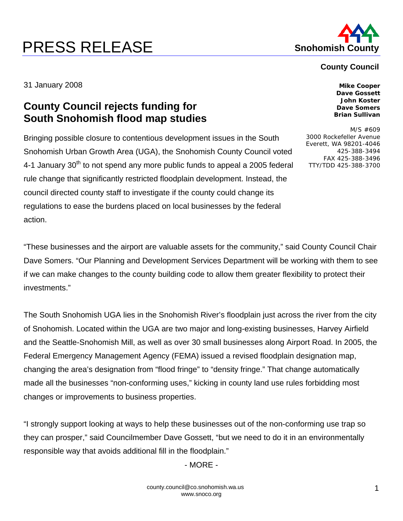## **PRESS RELEASE Shohomish County**



## **County Council**

31 January 2008 **Mike Cooper** 

## **County Council rejects funding for South Snohomish flood map studies**

Bringing possible closure to contentious development issues in the South Snohomish Urban Growth Area (UGA), the Snohomish County Council voted 4-1 January  $30<sup>th</sup>$  to not spend any more public funds to appeal a 2005 federal rule change that significantly restricted floodplain development. Instead, the council directed county staff to investigate if the county could change its regulations to ease the burdens placed on local businesses by the federal action.

**Dave Gossett John Koster Dave Somers Brian Sullivan** 

M/S #609 3000 Rockefeller Avenue Everett, WA 98201-4046 425-388-3494 FAX 425-388-3496 TTY/TDD 425-388-3700

"These businesses and the airport are valuable assets for the community," said County Council Chair Dave Somers. "Our Planning and Development Services Department will be working with them to see if we can make changes to the county building code to allow them greater flexibility to protect their investments."

The South Snohomish UGA lies in the Snohomish River's floodplain just across the river from the city of Snohomish. Located within the UGA are two major and long-existing businesses, Harvey Airfield and the Seattle-Snohomish Mill, as well as over 30 small businesses along Airport Road. In 2005, the Federal Emergency Management Agency (FEMA) issued a revised floodplain designation map, changing the area's designation from "flood fringe" to "density fringe." That change automatically made all the businesses "non-conforming uses," kicking in county land use rules forbidding most changes or improvements to business properties.

"I strongly support looking at ways to help these businesses out of the non-conforming use trap so they can prosper," said Councilmember Dave Gossett, "but we need to do it in an environmentally responsible way that avoids additional fill in the floodplain."

- MORE -